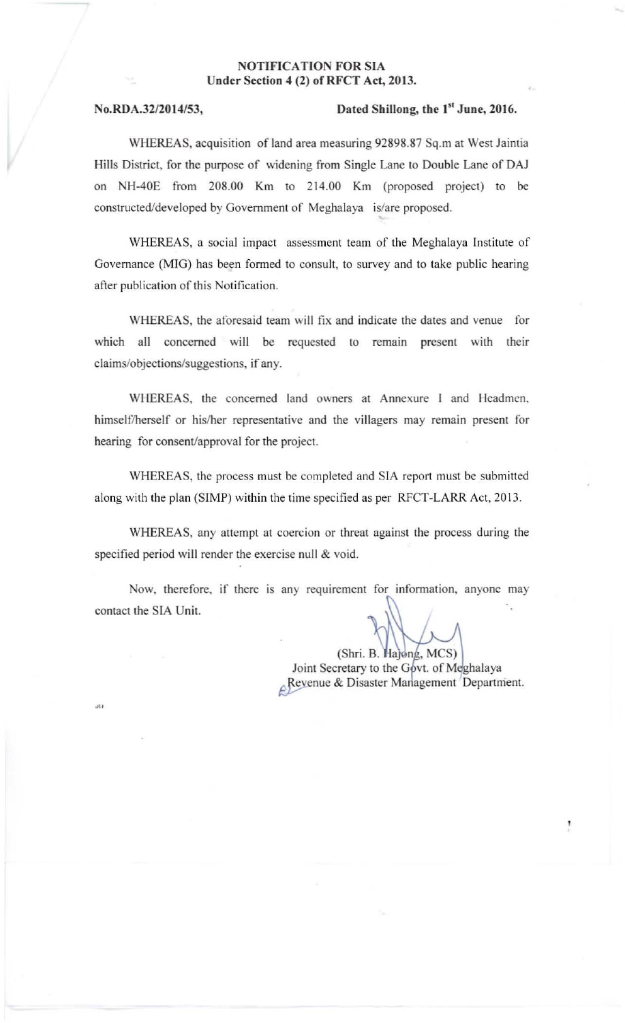## NOTIFICATION FOR SIA Under Section 4 (2) of RFCT Act, 2013.

## $No.RDA.32/2014/53,$  Dated Shillong, the  $1<sup>st</sup>$  June, 2016.

WHEREAS, acquisition of land area measuring 92898.87 Sq.m at West Jaintia Hills District, for the purpose of widening from Single Lane to Double Lane of DAJ on NH-40E from 208.00 Km to 214.00 Km (proposed project) to be constructed/developed by Government of Meghalaya is/are proposed.

WHEREAS. a social impact assessment team of the Meghalaya Institute of Governance (MIG) has been formed to consult. to survey and to take public hearing after publication of this Notification.

WHEREAS, the aforesaid team will fix and indicate the dates and venue for which all concerned will be requested to remain present with their claims/objections/suggestions, if any.

WHEREAS. the concerned land owners at Annexure I and Headmen. himself/herself or his/her representative and the villagers may remain present for hearing for consent/approval for the project.

WHEREAS, the process must be completed and SIA report must be submitted along with the plan (SIMP) within the time specified as per RFCT-LARR Act. 2013.

WHEREAS, any attempt at coercion or threat against the process during the specified period will render the exercise null & void.

Now, therefore, if there is any requirement for information, anyone may contact the SIA Unit.

> (Shri. B. Hajong, MCS) Joint Secretary to the Govt. of Meghalaya Revenue & Disaster Management Department.